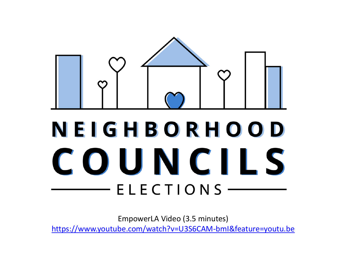

# NEIGHBORHOOD COUNCILS  $ELECTIONS$  —

EmpowerLA Video (3.5 minutes)

<https://www.youtube.com/watch?v=U3S6CAM-bmI&feature=youtu.be>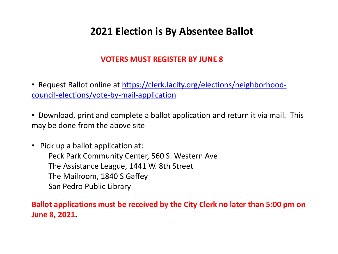## **2021 Election is By Absentee Ballot**

#### **VOTERS MUST REGISTER BY JUNE 8**

- Request Ballot online at [https://clerk.lacity.org/elections/neighborhood](https://clerk.lacity.org/elections/neighborhood-council-elections/vote-by-mail-application)[council-elections/vote-by-mail-application](https://clerk.lacity.org/elections/neighborhood-council-elections/vote-by-mail-application)
- Download, print and complete a ballot application and return it via mail. This may be done from the above site
- Pick up a ballot application at: Peck Park Community Center, 560 S. Western Ave The Assistance League, 1441 W. 8th Street The Mailroom, 1840 S Gaffey San Pedro Public Library

#### **Ballot applications must be received by the City Clerk no later than 5:00 pm on June 8, 2021.**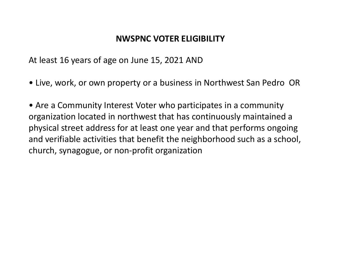## **NWSPNC VOTER ELIGIBILITY**

At least 16 years of age on June 15, 2021 AND

• Live, work, or own property or a business in Northwest San Pedro OR

• Are a Community Interest Voter who participates in a community organization located in northwest that has continuously maintained a physical street address for at least one year and that performs ongoing and verifiable activities that benefit the neighborhood such as a school, church, synagogue, or non-profit organization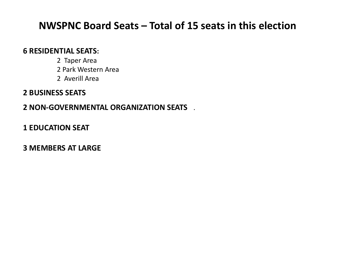## **NWSPNC Board Seats – Total of 15 seats in this election**

#### **6 RESIDENTIAL SEATS:**

- 2 Taper Area
- 2 Park Western Area
- 2 Averill Area

#### **2 BUSINESS SEATS**

#### **2 NON-GOVERNMENTAL ORGANIZATION SEATS** .

#### **1 EDUCATION SEAT**

#### **3 MEMBERS AT LARGE**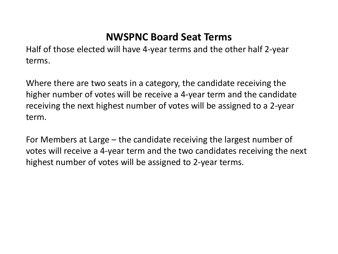# **NWSPNC Board Seat Terms**

Half of those elected will have 4-year terms and the other half 2-year terms.

Where there are two seats in a category, the candidate receiving the higher number of votes will be receive a 4-year term and the candidate receiving the next highest number of votes will be assigned to a 2-year term.

For Members at Large – the candidate receiving the largest number of votes will receive a 4-year term and the two candidates receiving the next highest number of votes will be assigned to 2-year terms.